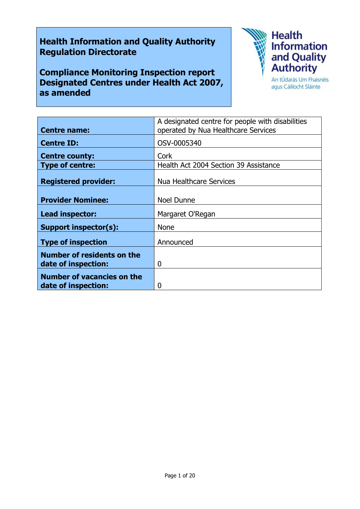# **Health Information and Quality Authority Regulation Directorate**

**Compliance Monitoring Inspection report Designated Centres under Health Act 2007, as amended**



agus Cáilíocht Sláinte

| <b>Centre name:</b>                                      | A designated centre for people with disabilities<br>operated by Nua Healthcare Services |
|----------------------------------------------------------|-----------------------------------------------------------------------------------------|
|                                                          |                                                                                         |
| <b>Centre ID:</b>                                        | OSV-0005340                                                                             |
| <b>Centre county:</b>                                    | Cork                                                                                    |
| <b>Type of centre:</b>                                   | Health Act 2004 Section 39 Assistance                                                   |
| <b>Registered provider:</b>                              | <b>Nua Healthcare Services</b>                                                          |
| <b>Provider Nominee:</b>                                 | <b>Noel Dunne</b>                                                                       |
| Lead inspector:                                          | Margaret O'Regan                                                                        |
| <b>Support inspector(s):</b>                             | <b>None</b>                                                                             |
| <b>Type of inspection</b>                                | Announced                                                                               |
| <b>Number of residents on the</b><br>date of inspection: | 0                                                                                       |
| <b>Number of vacancies on the</b><br>date of inspection: | 0                                                                                       |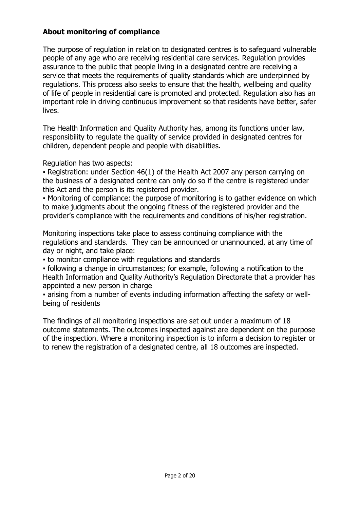# **About monitoring of compliance**

The purpose of regulation in relation to designated centres is to safeguard vulnerable people of any age who are receiving residential care services. Regulation provides assurance to the public that people living in a designated centre are receiving a service that meets the requirements of quality standards which are underpinned by regulations. This process also seeks to ensure that the health, wellbeing and quality of life of people in residential care is promoted and protected. Regulation also has an important role in driving continuous improvement so that residents have better, safer lives.

The Health Information and Quality Authority has, among its functions under law, responsibility to regulate the quality of service provided in designated centres for children, dependent people and people with disabilities.

Regulation has two aspects:

• Registration: under Section 46(1) of the Health Act 2007 any person carrying on the business of a designated centre can only do so if the centre is registered under this Act and the person is its registered provider.

▪ Monitoring of compliance: the purpose of monitoring is to gather evidence on which to make judgments about the ongoing fitness of the registered provider and the provider's compliance with the requirements and conditions of his/her registration.

Monitoring inspections take place to assess continuing compliance with the regulations and standards. They can be announced or unannounced, at any time of day or night, and take place:

▪ to monitor compliance with regulations and standards

▪ following a change in circumstances; for example, following a notification to the Health Information and Quality Authority's Regulation Directorate that a provider has appointed a new person in charge

▪ arising from a number of events including information affecting the safety or wellbeing of residents

The findings of all monitoring inspections are set out under a maximum of 18 outcome statements. The outcomes inspected against are dependent on the purpose of the inspection. Where a monitoring inspection is to inform a decision to register or to renew the registration of a designated centre, all 18 outcomes are inspected.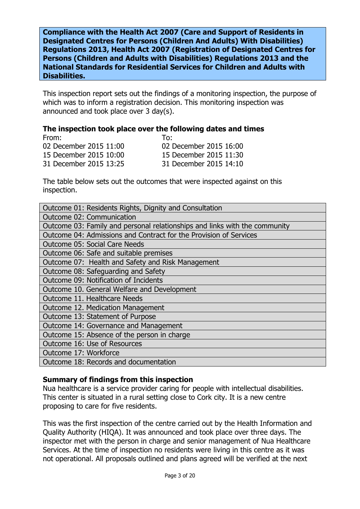**Compliance with the Health Act 2007 (Care and Support of Residents in Designated Centres for Persons (Children And Adults) With Disabilities) Regulations 2013, Health Act 2007 (Registration of Designated Centres for Persons (Children and Adults with Disabilities) Regulations 2013 and the National Standards for Residential Services for Children and Adults with Disabilities.**

This inspection report sets out the findings of a monitoring inspection, the purpose of which was to inform a registration decision. This monitoring inspection was announced and took place over 3 day(s).

#### **The inspection took place over the following dates and times**

| From:                  | T∩:                    |
|------------------------|------------------------|
| 02 December 2015 11:00 | 02 December 2015 16:00 |
| 15 December 2015 10:00 | 15 December 2015 11:30 |
| 31 December 2015 13:25 | 31 December 2015 14:10 |

The table below sets out the outcomes that were inspected against on this inspection.

| Outcome 01: Residents Rights, Dignity and Consultation                     |
|----------------------------------------------------------------------------|
| Outcome 02: Communication                                                  |
| Outcome 03: Family and personal relationships and links with the community |
| Outcome 04: Admissions and Contract for the Provision of Services          |
| <b>Outcome 05: Social Care Needs</b>                                       |
| Outcome 06: Safe and suitable premises                                     |
| Outcome 07: Health and Safety and Risk Management                          |
| Outcome 08: Safeguarding and Safety                                        |
| Outcome 09: Notification of Incidents                                      |
| Outcome 10. General Welfare and Development                                |
| Outcome 11. Healthcare Needs                                               |
| Outcome 12. Medication Management                                          |
| Outcome 13: Statement of Purpose                                           |
| Outcome 14: Governance and Management                                      |
| Outcome 15: Absence of the person in charge                                |
| Outcome 16: Use of Resources                                               |
| Outcome 17: Workforce                                                      |
| Outcome 18: Records and documentation                                      |

#### **Summary of findings from this inspection**

Nua healthcare is a service provider caring for people with intellectual disabilities. This center is situated in a rural setting close to Cork city. It is a new centre proposing to care for five residents.

This was the first inspection of the centre carried out by the Health Information and Quality Authority (HIQA). It was announced and took place over three days. The inspector met with the person in charge and senior management of Nua Healthcare Services. At the time of inspection no residents were living in this centre as it was not operational. All proposals outlined and plans agreed will be verified at the next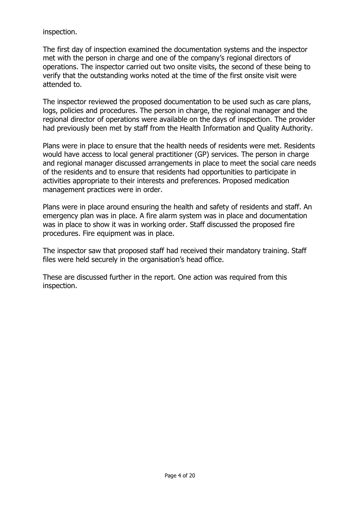inspection.

The first day of inspection examined the documentation systems and the inspector met with the person in charge and one of the company's regional directors of operations. The inspector carried out two onsite visits, the second of these being to verify that the outstanding works noted at the time of the first onsite visit were attended to.

The inspector reviewed the proposed documentation to be used such as care plans, logs, policies and procedures. The person in charge, the regional manager and the regional director of operations were available on the days of inspection. The provider had previously been met by staff from the Health Information and Quality Authority.

Plans were in place to ensure that the health needs of residents were met. Residents would have access to local general practitioner (GP) services. The person in charge and regional manager discussed arrangements in place to meet the social care needs of the residents and to ensure that residents had opportunities to participate in activities appropriate to their interests and preferences. Proposed medication management practices were in order.

Plans were in place around ensuring the health and safety of residents and staff. An emergency plan was in place. A fire alarm system was in place and documentation was in place to show it was in working order. Staff discussed the proposed fire procedures. Fire equipment was in place.

The inspector saw that proposed staff had received their mandatory training. Staff files were held securely in the organisation's head office.

These are discussed further in the report. One action was required from this inspection.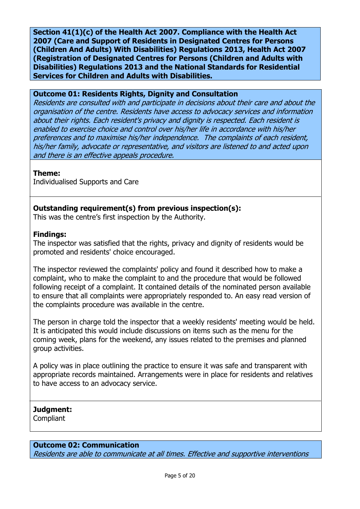**Section 41(1)(c) of the Health Act 2007. Compliance with the Health Act 2007 (Care and Support of Residents in Designated Centres for Persons (Children And Adults) With Disabilities) Regulations 2013, Health Act 2007 (Registration of Designated Centres for Persons (Children and Adults with Disabilities) Regulations 2013 and the National Standards for Residential Services for Children and Adults with Disabilities.**

## **Outcome 01: Residents Rights, Dignity and Consultation**

Residents are consulted with and participate in decisions about their care and about the organisation of the centre. Residents have access to advocacy services and information about their rights. Each resident's privacy and dignity is respected. Each resident is enabled to exercise choice and control over his/her life in accordance with his/her preferences and to maximise his/her independence. The complaints of each resident, his/her family, advocate or representative, and visitors are listened to and acted upon and there is an effective appeals procedure.

#### **Theme:**

Individualised Supports and Care

## **Outstanding requirement(s) from previous inspection(s):**

This was the centre's first inspection by the Authority.

#### **Findings:**

The inspector was satisfied that the rights, privacy and dignity of residents would be promoted and residents' choice encouraged.

The inspector reviewed the complaints' policy and found it described how to make a complaint, who to make the complaint to and the procedure that would be followed following receipt of a complaint. It contained details of the nominated person available to ensure that all complaints were appropriately responded to. An easy read version of the complaints procedure was available in the centre.

The person in charge told the inspector that a weekly residents' meeting would be held. It is anticipated this would include discussions on items such as the menu for the coming week, plans for the weekend, any issues related to the premises and planned group activities.

A policy was in place outlining the practice to ensure it was safe and transparent with appropriate records maintained. Arrangements were in place for residents and relatives to have access to an advocacy service.

## **Judgment:**

Compliant

# **Outcome 02: Communication**

Residents are able to communicate at all times. Effective and supportive interventions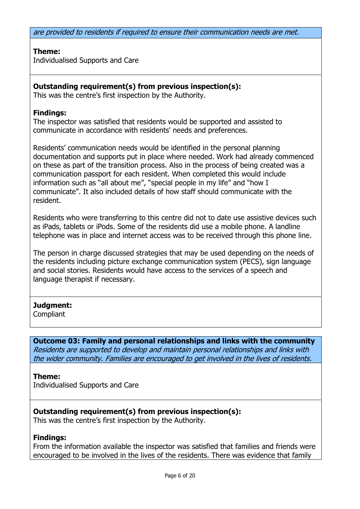are provided to residents if required to ensure their communication needs are met.

# **Theme:**

Individualised Supports and Care

# **Outstanding requirement(s) from previous inspection(s):**

This was the centre's first inspection by the Authority.

# **Findings:**

The inspector was satisfied that residents would be supported and assisted to communicate in accordance with residents' needs and preferences.

Residents' communication needs would be identified in the personal planning documentation and supports put in place where needed. Work had already commenced on these as part of the transition process. Also in the process of being created was a communication passport for each resident. When completed this would include information such as "all about me", "special people in my life" and "how I communicate". It also included details of how staff should communicate with the resident.

Residents who were transferring to this centre did not to date use assistive devices such as iPads, tablets or iPods. Some of the residents did use a mobile phone. A landline telephone was in place and internet access was to be received through this phone line.

The person in charge discussed strategies that may be used depending on the needs of the residents including picture exchange communication system (PECS), sign language and social stories. Residents would have access to the services of a speech and language therapist if necessary.

## **Judgment:**

Compliant

**Outcome 03: Family and personal relationships and links with the community** Residents are supported to develop and maintain personal relationships and links with the wider community. Families are encouraged to get involved in the lives of residents.

## **Theme:**

Individualised Supports and Care

## **Outstanding requirement(s) from previous inspection(s):**

This was the centre's first inspection by the Authority.

## **Findings:**

From the information available the inspector was satisfied that families and friends were encouraged to be involved in the lives of the residents. There was evidence that family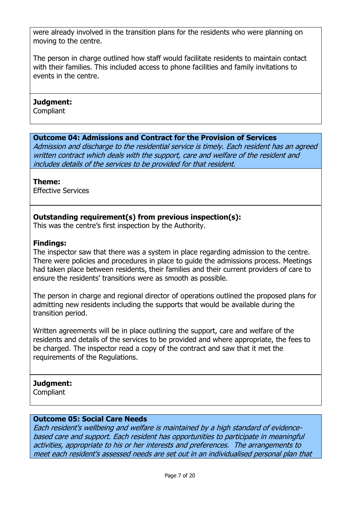were already involved in the transition plans for the residents who were planning on moving to the centre.

The person in charge outlined how staff would facilitate residents to maintain contact with their families. This included access to phone facilities and family invitations to events in the centre.

#### **Judgment:**

Compliant

## **Outcome 04: Admissions and Contract for the Provision of Services**

Admission and discharge to the residential service is timely. Each resident has an agreed written contract which deals with the support, care and welfare of the resident and includes details of the services to be provided for that resident.

#### **Theme:**

Effective Services

# **Outstanding requirement(s) from previous inspection(s):**

This was the centre's first inspection by the Authority.

## **Findings:**

The inspector saw that there was a system in place regarding admission to the centre. There were policies and procedures in place to guide the admissions process. Meetings had taken place between residents, their families and their current providers of care to ensure the residents' transitions were as smooth as possible.

The person in charge and regional director of operations outlined the proposed plans for admitting new residents including the supports that would be available during the transition period.

Written agreements will be in place outlining the support, care and welfare of the residents and details of the services to be provided and where appropriate, the fees to be charged. The inspector read a copy of the contract and saw that it met the requirements of the Regulations.

## **Judgment:**

**Compliant** 

## **Outcome 05: Social Care Needs**

Each resident's wellbeing and welfare is maintained by a high standard of evidencebased care and support. Each resident has opportunities to participate in meaningful activities, appropriate to his or her interests and preferences. The arrangements to meet each resident's assessed needs are set out in an individualised personal plan that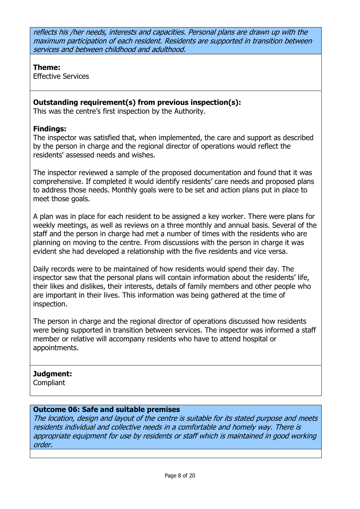reflects his /her needs, interests and capacities. Personal plans are drawn up with the maximum participation of each resident. Residents are supported in transition between services and between childhood and adulthood.

# **Theme:**

Effective Services

# **Outstanding requirement(s) from previous inspection(s):**

This was the centre's first inspection by the Authority.

# **Findings:**

The inspector was satisfied that, when implemented, the care and support as described by the person in charge and the regional director of operations would reflect the residents' assessed needs and wishes.

The inspector reviewed a sample of the proposed documentation and found that it was comprehensive. If completed it would identify residents' care needs and proposed plans to address those needs. Monthly goals were to be set and action plans put in place to meet those goals.

A plan was in place for each resident to be assigned a key worker. There were plans for weekly meetings, as well as reviews on a three monthly and annual basis. Several of the staff and the person in charge had met a number of times with the residents who are planning on moving to the centre. From discussions with the person in charge it was evident she had developed a relationship with the five residents and vice versa.

Daily records were to be maintained of how residents would spend their day. The inspector saw that the personal plans will contain information about the residents' life, their likes and dislikes, their interests, details of family members and other people who are important in their lives. This information was being gathered at the time of inspection.

The person in charge and the regional director of operations discussed how residents were being supported in transition between services. The inspector was informed a staff member or relative will accompany residents who have to attend hospital or appointments.

# **Judgment:**

Compliant

# **Outcome 06: Safe and suitable premises**

The location, design and layout of the centre is suitable for its stated purpose and meets residents individual and collective needs in a comfortable and homely way. There is appropriate equipment for use by residents or staff which is maintained in good working order.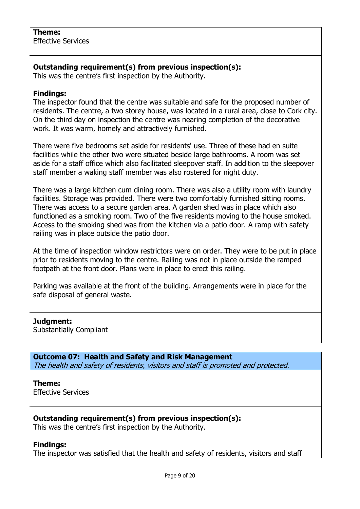Effective Services

# **Outstanding requirement(s) from previous inspection(s):**

This was the centre's first inspection by the Authority.

#### **Findings:**

The inspector found that the centre was suitable and safe for the proposed number of residents. The centre, a two storey house, was located in a rural area, close to Cork city. On the third day on inspection the centre was nearing completion of the decorative work. It was warm, homely and attractively furnished.

There were five bedrooms set aside for residents' use. Three of these had en suite facilities while the other two were situated beside large bathrooms. A room was set aside for a staff office which also facilitated sleepover staff. In addition to the sleepover staff member a waking staff member was also rostered for night duty.

There was a large kitchen cum dining room. There was also a utility room with laundry facilities. Storage was provided. There were two comfortably furnished sitting rooms. There was access to a secure garden area. A garden shed was in place which also functioned as a smoking room. Two of the five residents moving to the house smoked. Access to the smoking shed was from the kitchen via a patio door. A ramp with safety railing was in place outside the patio door.

At the time of inspection window restrictors were on order. They were to be put in place prior to residents moving to the centre. Railing was not in place outside the ramped footpath at the front door. Plans were in place to erect this railing.

Parking was available at the front of the building. Arrangements were in place for the safe disposal of general waste.

#### **Judgment:**

Substantially Compliant

**Outcome 07: Health and Safety and Risk Management** The health and safety of residents, visitors and staff is promoted and protected.

## **Theme:**

Effective Services

## **Outstanding requirement(s) from previous inspection(s):**

This was the centre's first inspection by the Authority.

## **Findings:**

The inspector was satisfied that the health and safety of residents, visitors and staff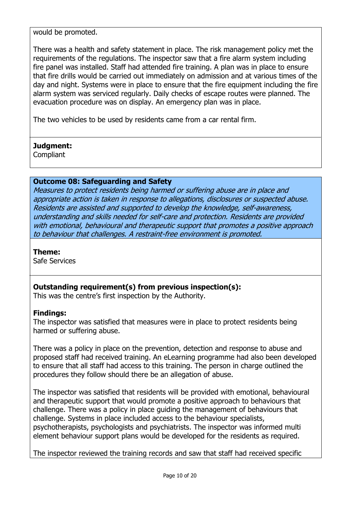would be promoted.

There was a health and safety statement in place. The risk management policy met the requirements of the regulations. The inspector saw that a fire alarm system including fire panel was installed. Staff had attended fire training. A plan was in place to ensure that fire drills would be carried out immediately on admission and at various times of the day and night. Systems were in place to ensure that the fire equipment including the fire alarm system was serviced regularly. Daily checks of escape routes were planned. The evacuation procedure was on display. An emergency plan was in place.

The two vehicles to be used by residents came from a car rental firm.

# **Judgment:**

**Compliant** 

## **Outcome 08: Safeguarding and Safety**

Measures to protect residents being harmed or suffering abuse are in place and appropriate action is taken in response to allegations, disclosures or suspected abuse. Residents are assisted and supported to develop the knowledge, self-awareness, understanding and skills needed for self-care and protection. Residents are provided with emotional, behavioural and therapeutic support that promotes a positive approach to behaviour that challenges. A restraint-free environment is promoted.

# **Theme:**

Safe Services

# **Outstanding requirement(s) from previous inspection(s):**

This was the centre's first inspection by the Authority.

# **Findings:**

The inspector was satisfied that measures were in place to protect residents being harmed or suffering abuse.

There was a policy in place on the prevention, detection and response to abuse and proposed staff had received training. An eLearning programme had also been developed to ensure that all staff had access to this training. The person in charge outlined the procedures they follow should there be an allegation of abuse.

The inspector was satisfied that residents will be provided with emotional, behavioural and therapeutic support that would promote a positive approach to behaviours that challenge. There was a policy in place guiding the management of behaviours that challenge. Systems in place included access to the behaviour specialists, psychotherapists, psychologists and psychiatrists. The inspector was informed multi element behaviour support plans would be developed for the residents as required.

The inspector reviewed the training records and saw that staff had received specific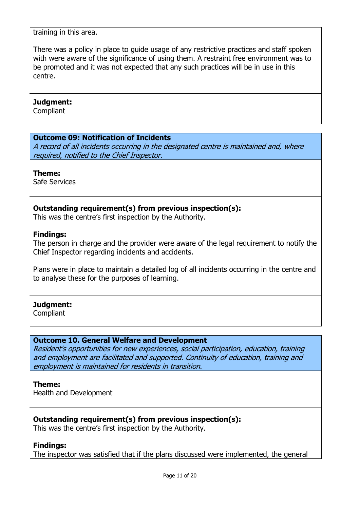training in this area.

There was a policy in place to guide usage of any restrictive practices and staff spoken with were aware of the significance of using them. A restraint free environment was to be promoted and it was not expected that any such practices will be in use in this centre.

#### **Judgment:**

Compliant

## **Outcome 09: Notification of Incidents**

A record of all incidents occurring in the designated centre is maintained and, where required, notified to the Chief Inspector.

#### **Theme:**

Safe Services

## **Outstanding requirement(s) from previous inspection(s):**

This was the centre's first inspection by the Authority.

#### **Findings:**

The person in charge and the provider were aware of the legal requirement to notify the Chief Inspector regarding incidents and accidents.

Plans were in place to maintain a detailed log of all incidents occurring in the centre and to analyse these for the purposes of learning.

#### **Judgment:**

Compliant

## **Outcome 10. General Welfare and Development**

Resident's opportunities for new experiences, social participation, education, training and employment are facilitated and supported. Continuity of education, training and employment is maintained for residents in transition.

#### **Theme:**

Health and Development

## **Outstanding requirement(s) from previous inspection(s):**

This was the centre's first inspection by the Authority.

#### **Findings:**

The inspector was satisfied that if the plans discussed were implemented, the general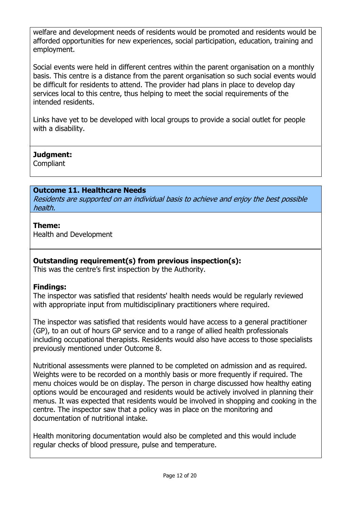welfare and development needs of residents would be promoted and residents would be afforded opportunities for new experiences, social participation, education, training and employment.

Social events were held in different centres within the parent organisation on a monthly basis. This centre is a distance from the parent organisation so such social events would be difficult for residents to attend. The provider had plans in place to develop day services local to this centre, thus helping to meet the social requirements of the intended residents.

Links have yet to be developed with local groups to provide a social outlet for people with a disability.

# **Judgment:**

**Compliant** 

# **Outcome 11. Healthcare Needs**

Residents are supported on an individual basis to achieve and enjoy the best possible health.

## **Theme:**

Health and Development

# **Outstanding requirement(s) from previous inspection(s):**

This was the centre's first inspection by the Authority.

# **Findings:**

The inspector was satisfied that residents' health needs would be regularly reviewed with appropriate input from multidisciplinary practitioners where required.

The inspector was satisfied that residents would have access to a general practitioner (GP), to an out of hours GP service and to a range of allied health professionals including occupational therapists. Residents would also have access to those specialists previously mentioned under Outcome 8.

Nutritional assessments were planned to be completed on admission and as required. Weights were to be recorded on a monthly basis or more frequently if required. The menu choices would be on display. The person in charge discussed how healthy eating options would be encouraged and residents would be actively involved in planning their menus. It was expected that residents would be involved in shopping and cooking in the centre. The inspector saw that a policy was in place on the monitoring and documentation of nutritional intake.

Health monitoring documentation would also be completed and this would include regular checks of blood pressure, pulse and temperature.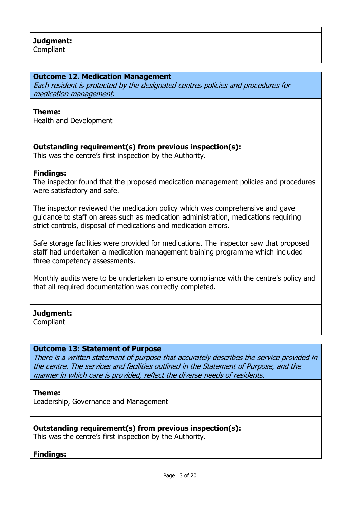Compliant

#### **Outcome 12. Medication Management**

Each resident is protected by the designated centres policies and procedures for medication management.

#### **Theme:**

Health and Development

# **Outstanding requirement(s) from previous inspection(s):**

This was the centre's first inspection by the Authority.

#### **Findings:**

The inspector found that the proposed medication management policies and procedures were satisfactory and safe.

The inspector reviewed the medication policy which was comprehensive and gave guidance to staff on areas such as medication administration, medications requiring strict controls, disposal of medications and medication errors.

Safe storage facilities were provided for medications. The inspector saw that proposed staff had undertaken a medication management training programme which included three competency assessments.

Monthly audits were to be undertaken to ensure compliance with the centre's policy and that all required documentation was correctly completed.

## **Judgment:**

Compliant

## **Outcome 13: Statement of Purpose**

There is a written statement of purpose that accurately describes the service provided in the centre. The services and facilities outlined in the Statement of Purpose, and the manner in which care is provided, reflect the diverse needs of residents.

#### **Theme:**

Leadership, Governance and Management

## **Outstanding requirement(s) from previous inspection(s):**

This was the centre's first inspection by the Authority.

## **Findings:**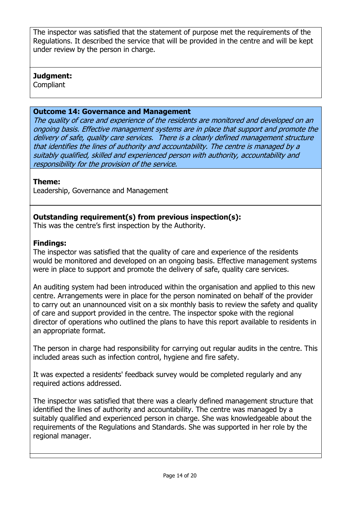The inspector was satisfied that the statement of purpose met the requirements of the Regulations. It described the service that will be provided in the centre and will be kept under review by the person in charge.

# **Judgment:**

**Compliant** 

# **Outcome 14: Governance and Management**

The quality of care and experience of the residents are monitored and developed on an ongoing basis. Effective management systems are in place that support and promote the delivery of safe, quality care services. There is a clearly defined management structure that identifies the lines of authority and accountability. The centre is managed by a suitably qualified, skilled and experienced person with authority, accountability and responsibility for the provision of the service.

# **Theme:**

Leadership, Governance and Management

# **Outstanding requirement(s) from previous inspection(s):**

This was the centre's first inspection by the Authority.

# **Findings:**

The inspector was satisfied that the quality of care and experience of the residents would be monitored and developed on an ongoing basis. Effective management systems were in place to support and promote the delivery of safe, quality care services.

An auditing system had been introduced within the organisation and applied to this new centre. Arrangements were in place for the person nominated on behalf of the provider to carry out an unannounced visit on a six monthly basis to review the safety and quality of care and support provided in the centre. The inspector spoke with the regional director of operations who outlined the plans to have this report available to residents in an appropriate format.

The person in charge had responsibility for carrying out regular audits in the centre. This included areas such as infection control, hygiene and fire safety.

It was expected a residents' feedback survey would be completed regularly and any required actions addressed.

The inspector was satisfied that there was a clearly defined management structure that identified the lines of authority and accountability. The centre was managed by a suitably qualified and experienced person in charge. She was knowledgeable about the requirements of the Regulations and Standards. She was supported in her role by the regional manager.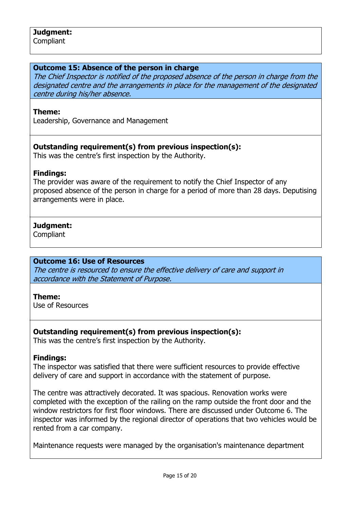**Compliant** 

#### **Outcome 15: Absence of the person in charge**

The Chief Inspector is notified of the proposed absence of the person in charge from the designated centre and the arrangements in place for the management of the designated centre during his/her absence.

#### **Theme:**

Leadership, Governance and Management

# **Outstanding requirement(s) from previous inspection(s):**

This was the centre's first inspection by the Authority.

## **Findings:**

The provider was aware of the requirement to notify the Chief Inspector of any proposed absence of the person in charge for a period of more than 28 days. Deputising arrangements were in place.

## **Judgment:**

**Compliant** 

## **Outcome 16: Use of Resources**

The centre is resourced to ensure the effective delivery of care and support in accordance with the Statement of Purpose.

## **Theme:**

Use of Resources

## **Outstanding requirement(s) from previous inspection(s):**

This was the centre's first inspection by the Authority.

## **Findings:**

The inspector was satisfied that there were sufficient resources to provide effective delivery of care and support in accordance with the statement of purpose.

The centre was attractively decorated. It was spacious. Renovation works were completed with the exception of the railing on the ramp outside the front door and the window restrictors for first floor windows. There are discussed under Outcome 6. The inspector was informed by the regional director of operations that two vehicles would be rented from a car company.

Maintenance requests were managed by the organisation's maintenance department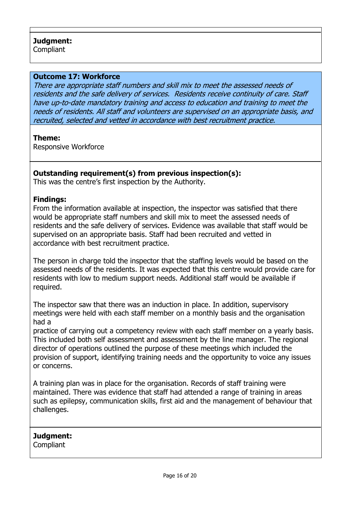**Compliant** 

#### **Outcome 17: Workforce**

There are appropriate staff numbers and skill mix to meet the assessed needs of residents and the safe delivery of services. Residents receive continuity of care. Staff have up-to-date mandatory training and access to education and training to meet the needs of residents. All staff and volunteers are supervised on an appropriate basis, and recruited, selected and vetted in accordance with best recruitment practice.

#### **Theme:**

Responsive Workforce

## **Outstanding requirement(s) from previous inspection(s):**

This was the centre's first inspection by the Authority.

#### **Findings:**

From the information available at inspection, the inspector was satisfied that there would be appropriate staff numbers and skill mix to meet the assessed needs of residents and the safe delivery of services. Evidence was available that staff would be supervised on an appropriate basis. Staff had been recruited and vetted in accordance with best recruitment practice.

The person in charge told the inspector that the staffing levels would be based on the assessed needs of the residents. It was expected that this centre would provide care for residents with low to medium support needs. Additional staff would be available if required.

The inspector saw that there was an induction in place. In addition, supervisory meetings were held with each staff member on a monthly basis and the organisation had a

practice of carrying out a competency review with each staff member on a yearly basis. This included both self assessment and assessment by the line manager. The regional director of operations outlined the purpose of these meetings which included the provision of support, identifying training needs and the opportunity to voice any issues or concerns.

A training plan was in place for the organisation. Records of staff training were maintained. There was evidence that staff had attended a range of training in areas such as epilepsy, communication skills, first aid and the management of behaviour that challenges.

# **Judgment:**

**Compliant**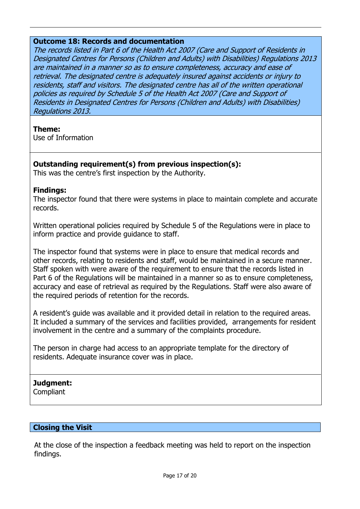#### **Outcome 18: Records and documentation**

The records listed in Part 6 of the Health Act 2007 (Care and Support of Residents in Designated Centres for Persons (Children and Adults) with Disabilities) Regulations 2013 are maintained in a manner so as to ensure completeness, accuracy and ease of retrieval. The designated centre is adequately insured against accidents or injury to residents, staff and visitors. The designated centre has all of the written operational policies as required by Schedule 5 of the Health Act 2007 (Care and Support of Residents in Designated Centres for Persons (Children and Adults) with Disabilities) Regulations 2013.

#### **Theme:**

Use of Information

# **Outstanding requirement(s) from previous inspection(s):**

This was the centre's first inspection by the Authority.

#### **Findings:**

The inspector found that there were systems in place to maintain complete and accurate records.

Written operational policies required by Schedule 5 of the Regulations were in place to inform practice and provide guidance to staff.

The inspector found that systems were in place to ensure that medical records and other records, relating to residents and staff, would be maintained in a secure manner. Staff spoken with were aware of the requirement to ensure that the records listed in Part 6 of the Regulations will be maintained in a manner so as to ensure completeness, accuracy and ease of retrieval as required by the Regulations. Staff were also aware of the required periods of retention for the records.

A resident's guide was available and it provided detail in relation to the required areas. It included a summary of the services and facilities provided, arrangements for resident involvement in the centre and a summary of the complaints procedure.

The person in charge had access to an appropriate template for the directory of residents. Adequate insurance cover was in place.

# **Judgment:**

**Compliant** 

#### **Closing the Visit**

At the close of the inspection a feedback meeting was held to report on the inspection findings.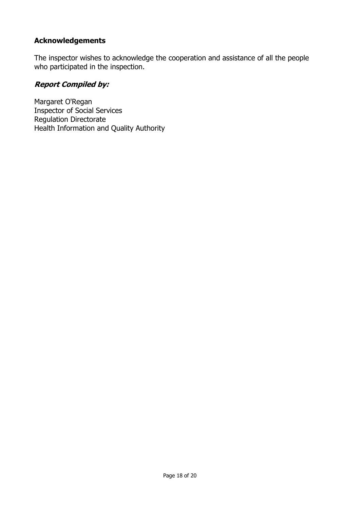# **Acknowledgements**

The inspector wishes to acknowledge the cooperation and assistance of all the people who participated in the inspection.

# **Report Compiled by:**

Margaret O'Regan Inspector of Social Services Regulation Directorate Health Information and Quality Authority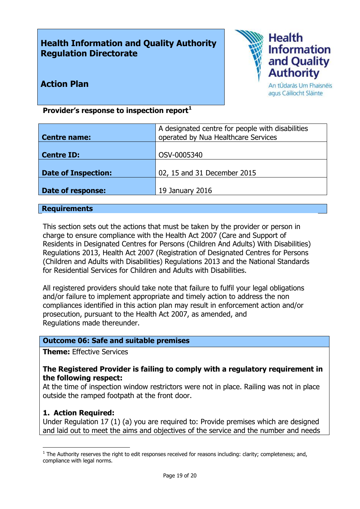# **Health Information and Quality Authority Regulation Directorate**



An tÚdarás Um Fhaisnéis agus Cáilíocht Sláinte

# **Action Plan**

# **Provider's response to inspection report<sup>1</sup>**

| <b>Centre name:</b>        | A designated centre for people with disabilities<br>operated by Nua Healthcare Services |
|----------------------------|-----------------------------------------------------------------------------------------|
| <b>Centre ID:</b>          | OSV-0005340                                                                             |
| <b>Date of Inspection:</b> | 02, 15 and 31 December 2015                                                             |
| <b>Date of response:</b>   | 19 January 2016                                                                         |

#### **Requirements**

This section sets out the actions that must be taken by the provider or person in charge to ensure compliance with the Health Act 2007 (Care and Support of Residents in Designated Centres for Persons (Children And Adults) With Disabilities) Regulations 2013, Health Act 2007 (Registration of Designated Centres for Persons (Children and Adults with Disabilities) Regulations 2013 and the National Standards for Residential Services for Children and Adults with Disabilities.

All registered providers should take note that failure to fulfil your legal obligations and/or failure to implement appropriate and timely action to address the non compliances identified in this action plan may result in enforcement action and/or prosecution, pursuant to the Health Act 2007, as amended, and Regulations made thereunder.

#### **Outcome 06: Safe and suitable premises**

**Theme:** Effective Services

## **The Registered Provider is failing to comply with a regulatory requirement in the following respect:**

At the time of inspection window restrictors were not in place. Railing was not in place outside the ramped footpath at the front door.

## **1. Action Required:**

 $\overline{a}$ 

Under Regulation 17 (1) (a) you are required to: Provide premises which are designed and laid out to meet the aims and objectives of the service and the number and needs

 $<sup>1</sup>$  The Authority reserves the right to edit responses received for reasons including: clarity; completeness; and,</sup> compliance with legal norms.